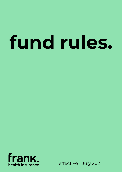# **fund rules.**



effective 1 July 2021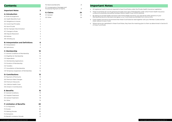# **Important Notes**

- a. All registered health funds are required to have Fund Rules under the Private Health Insurance Legislation.
- b. These Fund Rules set out the general principles and rules of Membership under which Frank Health Insurance conducts its business, excluding Overseas Visitors Health Cover (OVHC) policies.
- c. By taking out private health insurance with Frank Health Insurance, you and all the other persons on your Membership become Members and agree to our Fund Rules as amended from time to time.
- d. Frank Health Insurance recommend that these Fund Rules be read together with your Member Guide and fact sheet relevant to your Cover.
- e. Where terms are capitalised in these Fund Rules, they have the meaning given to them as determined in Section B of these Fund Rules.

# **Contents**

**[G: Claims](#page-12-0) 24** [G1: General](#page-12-0) 24 [G2: Other](#page-12-0) 24

| <b>Important Notes</b>                   | 3              |
|------------------------------------------|----------------|
| <b>A: Introduction</b>                   | 4              |
| Al: Rules Arrangement                    | 4              |
| A2: Health Benefits Fund                 | 4              |
| A3: Obligations to Insurer               | 4              |
| A4: Governing Principles                 | 4              |
| A5: Use of Funds                         | 4              |
| A6: No Improper Discrimination           | 4              |
| A7: Changes to Rules                     | 5              |
| A8: Dispute Resolution                   | 5              |
| A9: Notices                              | 5              |
| A10: Winding Up                          | 5              |
| <b>B: Interpretation and Definitions</b> | 6              |
| B1: Interpretation                       | 6              |
| <b>B2: Definitions</b>                   | 6              |
| C: Membership                            | 10             |
| C1: General Conditions of Membership     | 10             |
| C2: Eligibility for Membership           | 10             |
| C3: Dependants                           | 10             |
| C4: Membership Applications              | $\overline{1}$ |
| C5: Duration of Membership               | וו             |
| C6: Transfers                            | וו             |
| C7: Cancellation of Membership           | 12             |
| C9: Temporary Suspension of Membership   | 12             |
| <b>D: Contributions</b>                  | 13             |
| D1: Payment of Premiums                  | 13             |
| D2: Premium Rate Changes                 | 13             |
| D3: Premium Discounts                    | 13             |
| D4: Lifetime Health Cover                | 13             |
| D5: Arrears in Contributions             | 14             |
| <b>E: Benefits</b>                       | 15             |
| E1: General Conditions                   | 15             |
| E2: Hospital Treatment                   | 16             |
| E3: General Treatment                    | 18             |
| E4: Other                                | 19             |
| <b>F: Limitation of Benefits</b>         | 20             |
| F1: Co-Payments                          | 20             |
| F <sub>2</sub> : Excess                  | 20             |
| F3: Waiting Periods                      | 20             |
| F4: Exclusions                           | 21             |
| F5: Benefit Limitation Periods           | 21             |

| F6: Restricted Benefits                                       |     |
|---------------------------------------------------------------|-----|
| F7: Compensation Damages and<br>Provisional Payment of Claims | -21 |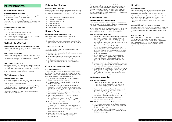# <span id="page-2-0"></span>**A: Introduction**

### **A1: Rules Arrangement**

### **A1.1: Application of Fund Rules**

GMHBA Limited issues private health insurance policies under the Frank Health Insurance brand.

These Fund Rules apply to all private health insurance policies under the Frank Health Insurance brand, other than Frank Australia Overseas Visitor Health Cover (OVHC).

### **A1.2: Content of the Fund Rules**

These Fund Rules consist of:

- a. The General Conditions (A to G); and
- b. The Product Schedules (H to M).

For more information regarding the Product Schedules, please contact Frank on 1300 437 265 or frank@frankhealthinsurance.com.au

### **A2: Health Benefits Fund**

### **A2.1: Establishment and Administration of the Fund**

GMHBA Limited (ABN 98 004 417 092) is a not-for-profit company incorporated in Australia.

### **A2.2: Purpose of the Fund**

GMHBA Limited operates as a Health Benefits Fund for the purposes of its health insurance business and any health-related business in accordance with the Private Health Insurance Act.

### **A2.3: Purpose of these Rules**

These rules govern the operation of the Fund, including the obligations and entitlements of Fund Members, the rules regarding payment of entitlements by Frank Health Insurance and the obligations and entitlements of GMHBA Limited in administering the Fund.

### **A3: Obligations to Insurer**

### **A3.1: Provision of Information**

Any person applying for Membership to the Fund agrees to provide all information requested that is relevant to their application for Membership.

Existing Members must notify the Fund of any changes to their information in the manner and within the timeframe prescribed in these Fund Rules.

All persons included on a health insurance policy are bound by these Fund rules.

### **A4: Governing Principles**

### **A4.1: Governance of the Fund**

The operation of the Fund and the relationship between Frank Health Insurance and their Members is governed by is governed by the laws of Australia including but not limited to:

- a. The Private Health Insurance Legislation
- b. The Health Insurance Act
- c. The National Health Act
- d. These Fund Rules
- e. Fund Policies, and
- f. The Constitution of GMHBA Limited.

### **A5: Use of Funds**

### **A5.1: Income to be credited to the Fund**

Frank Health Insurance shall credit to the Fund:

- a. All Premiums paid in relation to Products; and
- b. Such other moneys or income as required by the Private Health Insurance Legislation to be credited to the Fund.

### **A5.2: Payments from Fund**

Payments from the Fund may not be made for any purpose other than to:

- a. Meet the Membership liabilities in accordance with these Fund Rules;
- b. Meet other liabilities or expenses incurred for the purposes of the business of the Fund; and
- c. Make distributions, investments and for any other purpose allowed under the Private Health Insurance Legislation.

### **A6: No Improper Discrimination**

### **A6.1: Community Rating**

As required by the Private Health Insurance Act, when conducting the Fund and making decisions in relation to persons applying for Membership or Members, Frank Health Insurance will not take into account:

- a. The suffering by a Member of a Chronic Disease, illness or other medical condition;
- b. The gender, race, sexual orientation or religious belief of a Member;
- c. The age of a Member, except in relation to the calculation of Lifetime Health Cover Loading and Age Based Discounts, or any other extent as which is permitted by the Private Health Insurance Act;
- d. Where a person lives, except as permitted by the Private Health Insurance Act;
- e. Any other characteristic of a person (including, but not just, matters such as occupation or leisure pursuits) that are likely to result in an increased need for Hospital Treatment or General Treatment;
- f. The frequency with which a person needs Hospital Treatment or General Treatment;
- g. The amount, or extent, of the Benefits to which a Member becomes, or has become, entitled during a period under his or her Membership, except to the extent allowed under the Private Health Insurance Legislation; or
- h. Any other matter set out in the Private Health Insurance Legislation as being improper discrimination.

Notwithstanding the above, Frank Health Insurance can determine a Member's Benefit entitlement under an Extras Product based on the amount of Benefits already received by the Member (that is, annual limits can and do apply). In addition, Frank Health Insurance varies Premiums for a Product depending on the State in which the Member resides.

### **A7: Changes to Rules**

### **A7.1: Amendments to the Fund Rules**

Frank Health Insurance may change the Fund Rules at any time, in a manner consistent with the Private Health Insurance Legislation and any other law.

Where a Member became entitled to receive a Benefit at a time when a previous Fund Rule applied, the Benefit specified in the earlier Fund Rule will be payable.

### **A7.2: Notification to a Member**

- a. Where Frank Health Insurance amends or proposes to amend a Fund Rule and the amendment is or might be detrimental to the interests of the Member, Frank Health Insurance will inform the Policyholder of the amendment a reasonable time before the change takes effect.
- b. Where an amendment to the Fund Rules requires a change to the Private Health Information Statement (PHIS), Frank Health Insurance will also provide a new PHIS to the Policyholder who is on the particular Product as soon as practicable after it has been updated.
- c. A PHIS is available for every Product available to new and existing Members of the Fund. The content of the PHIS will be as outlined in the Private Health Insurance (Complying Product) Rules.
- d. An up to date PHIS will be forwarded to anyone on request, and at the very least to Policyholders once every year (without need to be requested).
- e. A newly insured Policyholder will be given an up to date copy of the relevant PHIS, details about what the policy Covers and how Benefits are provided, and a statement identifying the referable Health Benefits Fund when they join.

### **A8: Dispute Resolution**

### **A8.1: Member Complaints**

- a. Frank Health Insurance is a signatory to the Private Health Insurance Code of Conduct and is committed to upholding the highest level of customer service to its Members.
- b. Frank Health Insurance offers an internal dispute resolution process to its Members through its Complaints Handling Policy.
- c. A Member may make a complaint to Frank about any aspect of their Membership at any time.
- d. Frank will make all reasonable endeavours to respond to complaints quickly and efficiently.

### **A8.2: Private Health Insurance Ombudsman**

- a. The Private Health Insurance Ombudsman assists Members who have been unable to resolve issues directly with the Fund.
- b. There is no provision within these Fund Rules which prevents a Member from approaching the Ombudsman at any time.

## **A9: Notices**

### **A9.1: Correspondence**

Frank Health Insurance will send all correspondence addressed to the Policyholder to the most recently advised address, phone number or email address.

A Policyholder who receives written advice from Frank Health Insurance regarding the Membership that is not specific only to that Member, must inform all other Members on the Membership of the contents of that notice.

### **A9.2: Availability of Fund Rules to Members**

A copy of these Fund Rules will be made available to new Members upon joining the Fund and are also available for Members to view online at frankhealthinsurance.com. au.

### **A10: Winding Up**

In the event that GMHBA Limited was to be wound up, the Fund will be wound up according to the requirements of the Private Health Insurance Legislation and the Constitution, and GMHBA Limited will be in constant dialogue with the Australian Prudential Regulation Authority in relation to this matter.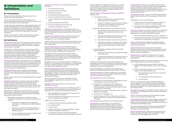# <span id="page-3-0"></span>**B: Interpretation and Definitions**

### **B1: Interpretation**

These Fund Rules shall be interpreted so as not to conflict with the Constitution.

Any terms used in these Fund Rules and in the Constitution shall have the same meaning in these Fund Rules as they bear in the Constitution.

Unless otherwise specified, the meaning attached to the words and expressions in the Private Health Insurance Legislation shall apply to these Fund Rules. These Fund Rules are to be interpreted as far as possible in a manner that is consistent with the Private Health Insurance Legislation.

Words in the singular number shall include the plural and words in the plural shall include the singular.

### **B2: Definitions**

*AHSA Access Gap Cover:* The approved scheme used by Frank for the payment of medical Benefits in excess of the Medicare Benefits Schedule to provide a no gap or known gap to members.

*Accident:* An unforeseen event, occurring by chance and caused by an external force or object which results in involuntary injury to the body requiring immediate treatment. For an accident to be covered, treatment must be sought through a Doctor or Emergency Department within 48 hours of sustaining the injury. A Doctor's letter or Hospital report must be supplied.

- a. *Emergency Ambulance:* clinically necessary Ambulance treatment and transport and does not include:
	- i. Ambulance Transport from a Hospital to your home, or Ambulance transfers between **Hospitals**
	- ii. Any services which are not operated by an Ambulance Provider recognised by Frank Health Insurance
	- iii. Any non-emergency services, as determined by the Ambulance Provider

*Acute Care Certificate:* A certificate in a form approved and required by Frank Health Insurance from a medical provider confirming the need for an Admitted Patient to continue to receive acute Hospital care. An Acute Care Certificate is valid for 30 days and is required after 35 days of continuous hospitalisation.

*Admitted Patient:* means a patient who has been admitted to a Hospital as a patient and is receiving services under the direction of a medical practitioner or dentist.

*Adult:* A person who is not a Child Dependant or Student Dependant.

*Age Based Discount:* a premium discount on eligible hospital covers of two per cent for each year that a person is aged under 30 when they first purchase hospital insurance, to a maximum of 10 per cent for 18 to 25 year olds. The discount then reduces by two per cent each year from age 41.

*Ambulance:* a registered road vehicle, boat or aircraft operated by an Ambulance Provider and equipped for the transport and/or paramedical treatment of persons requiring medical attention.

*Ambulance Provider:* One of the following service providers:

- a. ACT Ambulance Service;
- b. Ambulance Service of NSW;
- c. Ambulance Victoria;
- d. Queensland Ambulance Service;
- e. South Australia Ambulance Service;
- f. St John Ambulance Service NSW (Norfolk Island Only)
- g. St John Ambulance Service NT;
- h. St John Ambulance Service WA; and
- i. Tasmanian Ambulance Service.

*Ambulance Subscription:* A membership taken out with a participating Ambulance Provider which provides cover for Ambulance services as defined in the terms of membership.

*Ambulance Transport:* Where a patient is taken from point A to point B in an Ambulance and may be for emergency or non-emergency reasons.

*Arrears:* The amount of unpaid premiums whenever the date to which premiums have been paid is earlier than the current date.

*Assisted Reproductive Services (ARS):* Hospital Treatment for fertility treatments or procedures. For example: retrieval of eggs or sperm, In vitro Fertilisation (IVF), and Gamete Intrafallopian Transfer (GIFT).

> **Consultation:** An attendance on a patient by a Recognised Provider or Hospital. Service must be provided one on one and the Provider must be in attendance and must remain accessible during the entire course of the consultation and treatment.

*Australia:* For the purpose of these Fund Rules includes the six states, Northern Territory, Australian Capital Territory, the Territory of Cocos (Keeling) Islands, Christmas Island and Norfolk Island, but excludes other Australian external territories.

*Benefit:* An amount of money payable to a Member, on behalf of or for the Benefit of a Member, to a Recognised Provider, medical provider or Hospital by the Fund in accordance with these Fund Rules.

*Benefit Replacement Period:* A continuous period that must elapse between any two purchases of the same type of General Treatment item before Benefits are payable in respect of the later purchase. Applicable Benefit Replacement Periods are described in the associated Schedules.

*Board:* The Board of Directors of GMHBA Limited or its delegate as appointed in accordance with the Constitution.

*Calendar Year:* The period from 1 January to 31 December inclusive.

*Certified Age of Entry:* A person's certified age of entry is the age they are considered to be when they take out hospital cover. A person's certified age of entry is:

- a. 30, regardless of their actual age, if they took out the cover before 1 July 2000
- b. Their actual age when they took out the cover, if this occurred after 1 July 2000.

**Extras:** A Product offered by Frank Health Insurance which Covers General Treatment only.

*Child:* Any one of the following;

- a. A natural Child (including a newborn Child)
- b. An adopted Child
- c. A foster Child
- d. A step-Child (that is, a natural, adopted or foster Child of the person's Partner), or
- e. A Child being cared for under guardianship arrangements approved by Frank Health Insurance.

*Chronic Disease:* A disease that has been, or is likely to be, present for at least six months including, but not limited to, asthma, cancer, cardiovascular illness, diabetes, a mental health Condition, arthritis and a musculoskeletal Condition.

### *Chronic Disease Management Program (CDMP):* A program that:

- a. Is intended to either:
	- i. Reduce complications in a person with a diagnosed Chronic Disease; or
	- ii. Prevent or delay the onset of Chronic Disease for a person with identified multiple risk factors for Chronic Disease; and
- b. Requires the development of a written plan that:
	- Specifies the allied health service or services and any other goods and services to be provided
	- ii. Specifies the frequency and duration of the provision of those goods and services
	- iii. Specifies the date for review of the plan and
	- iv. Has been provided to the patient for consent, and consent is given to the program, before services under the program are provided; and
- c. Is coordinated by a person who has accepted responsibility for:
	- i. Ensuring the services are provided according to the plan; and
	- ii. Monitoring the patient's compliance with the agreed goals and activities specified in the plan.

*Class:* General treatment where all participants are provided with the same intervention simultaneously and all participants in a class do the same thing. The number of people in a class is not significant.

*Clinical Categories:* A standard way of describing treatments as developed by the Department of Health

*Combined Product:* A Product offered by Frank Health Insurance which includes a Hospital Treatment Product and General Treatment Product.

*Compensation:* Any of the following:

- a. A payment of Compensation or damages pursuant to a judgment, award or settlement;
- b. A payment in accordance with a scheme of insurance or Compensation provided for by Commonwealth or State law (for example, workers Compensation insurance);
- c. Settlement of a claim for damages (with or without admission of liability);
- d. A payment for negligence; or
- e. Any other payment that, in the opinion of Frank Health Insurance, is a payment of Compensation or damages.

*Constitution:* The Constitution of GMHBA Limited.

*Consumables:* Medical consumables ad equipment includes syringes, needles, sutures, staples, packaging, tubing, catheters, medical gloves, gowns, masks, adhesives and sealants for wound dressing and a whole host of other devices and tools used in a hosptial or surgical environment.

*Contribution Group:* A group of Members approved by Frank Health Insurance for the purposes of Fund Rule D3.2.

*Co-Payment:* One of the following;

- a. A set amount that a Member agrees to pay for a private room in a public or Private Hospital.
- b. An amount that must be paid before a Benefit is available for non-PBS pharmaceuticals.

*Cosmetic Surgery:* A procedure, operation or treatment undertaken for the dominant purpose of improving appearance or improving self-esteem where:

- a. There is no disease, deformity, injury or disorder; or
- b. The deformity is the result of a normal physiological process such a pregnancy and ageing.

*Cover:* A defined group of Benefits payable, subject to these Fund Rules, in respect of approved expenses incurred by a Member.

*Default Benefits:* For the purposes of Hospital Treatment, the minimum amount payable by the Fund for that Hospital Treatment, as required in the Private Health Insurance Legislation.

*Department of Health:* The Department of Health of the Commonwealth of Australia or its successor or replacement.

*Dependant:* A person who is not married or living in a de facto relationship and is one of the following:

- a. A Child Dependant being a Child of the Policy Holder or Principal Member who is under the age of 21.
- b. Student Dependant being a Child of the Policy Holder or Principal Member who:
	- Has reached the age of 21 but is under the age of 25, and
	- ii. Is undertaking Full-Time Education,
	- iii. Is not married.

*Excess:* An amount of money a Member agrees to pay a Hospital or Frank Health Insurance towards the accommodation costs of a Hospital admission before Benefits are payable. The Excess is payable per person per Calendar Year.

*Exclusion:* A procedure, condition or service which is not Covered on the Membership and for which no Benefits are payable.

*Frank Hospital Rewards:* Loyalty program allows Frank Health Insurance Members with an eligible Hospital Product to accumulate Frank Hospital Reward Dollars to contribute toward Medical Gap.

Accruals on this program will cease as of April 30 2022 and any outstanding balance can be redeemed by Members until April 30 2024.

*Frank Loyalty Benefit:* Loyalty program allows Frank Health Insurance Members with an eligible Ancillary Product to increase eligible Annual Limits.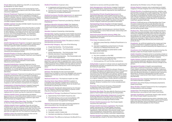*Fraud:* dishonestly obtaining a benefit, or causing loss, by deception or other means.

*Fund:* The Health Benefits Fund conducted by Frank Health Insurance in accordance with the Private Health Insurance Legislation.

*General Treatment:* Treatment (including the provision of goods and services) that is intended to manage or prevent a disease, injury or condition that is not Hospital Treatment (such as Dental, Optical, Physiotherapy, other therapies and Ambulance). General Treatment also includes Hospital Substitution.

*GMHBA Limited:* Includes GMHBA Health Insurance and Frank Health Insurance.

*Group:* General Treatment where the Provider is readily accessible during the entire course of a Group of up to six participants. The session will be of sufficient length to allow feedback and adjustment for each participant to occur. For Group physiotherapy, an individual assessment by a physiotherapist must have been previously provided.

*Health Insurance Act:* The Health Insurance Act 1973 (Cth).

*Health Management Program:* A program approved by Frank Health Insurance that is intended to ameliorate a Member's specific health condition or conditions.

*Insulin Pump:* Hospital Treatment for the provision and replacement of insulin pumps for treatment of diabetes.

*Hospital:* A facility which the Minister declares in writing is a Hospital and which complies with the Private Health Insurance (Accreditation) Rules.

*Hospital Product:* A Product offered by Frank Health Insurance which Covers Hospital Treatment and Hospital Substitution only.

*Hospital Purchaser-Provider Agreement:* An agreement entered into between Frank Health Insurance and a Hospital.

*Hospital Substitution:* General Treatment that is treatment provided by a provider that is not a declared hospital, but which substitutes for an episode of Hospital Treatment, i.e. it is the same treatment that is usually provided by a hospital. This is approved at Frank's discretion.

*Hospital Treatment:* Treatment (including the provision of goods and services) that is intended to manage a disease, illness, injury or condition, where the treatment is provided by a person who is authorised by a Hospital to provide the treatment or under the management or control of such a person and is either provided at a Hospital or with the direct involvement of a Hospital.

*Minister:* The Minister for the Commonwealth Department of Health or his or her delegate with powers vested in the Minister by the Private Health Insurance Legislation.

*Implantation of Hearing Device:* Hospital Treatment to correct hearing loss, including implantation of a prosthetic hearing device.

*Lifetime Health Cover:* Introduced by the federal government on 1 July 2000, allows health funds to charge different premiums according to a person's age when they first took out hospital cover.

> **Optical:** The provision of a sight-correcting appliance upon prescription by a Recognised Provider

*Lifetime Health Cover Base Day:* The later of 1 July 2000 or the 1st of July following your 31st birthday.

*Lifetime Health Cover Loading:* If you do not have Hospital Cover on your Lifetime Health Cover Base Day and decide to take out hospital cover after this time, you will pay a 2% loading on top of your premium for every year you are aged over 30. The maximum loading is 70% *Pain Management with Device: Hospital Treatment* for the implantation, replacement or other surgical management of a device required for the treatment of pain.

*Lifetime Limit:* The maximum amount that can be claimed on select service in a lifetime.

### *Medical Practitioner:* A person who:

**Partner:** A legally married spouse or de facto Partner, living together in a bona fide domestic relationship with the Policyholder.

- a. Is registered and licensed as a Medical Practitioner under a law of a State or Territory, and
- b. Satisfies the provider eligibility requirements for the payment of Medicare Benefits.

*Medical Purchaser-Provider Agreement:* An agreement entered into between Frank Health Insurance and a Medical Practitioner.

*Medical Treatment:* Treatment provided by a Medical Practitioner.

*Medicare Benefits Schedule (MBS):* The 'Medicare Benefits Schedule' published by the Department of Health and includes updates published from time to time.

*Member:* A person Covered by a Membership.

**Pre-Existing Condition (PEC):** An ailment, illness or condition, the signs or symptoms of which, in the opinion of a Medical Practitioner appointed by Frank Health Insurance (not the Member's own doctor), existed at any time during the six months preceding the day on which the Member purchased a Hospital Product or upgraded to a higher Hospital Product and/or Benefit entitlement.

*Membership:* A policy issued by Frank Health Insurance providing Cover for Hospital Treatment and/or General Treatment for which Premiums are paid in accordance with these Fund Rules.

*Membership Anniversary Date:* The date on which a Membership commenced.

*Membership Category:* Any one of the following:

- a. Single Membership The Policyholder
- b. Couple Membership The Policyholder and their Partner
- c. Family Membership The Policyholder, their Partner and one or more Dependants
- d. Single Parent Membership The Policyholder and one or more Dependants.

*Private Patient:* A person who is admitted to a Public Hospital or Private Hospital who is not a Public Patient.

*Mental Health Waiver:* Members with limited cover for psychiatric care are able to upgrade their cover to access higher benefits for in-hospital treatment without serving a waiting period. Policy holders are only able to use this exemption from the existing two month waiting period once.

### *Minimum Benefit:* See Default Benefits

**Product:** A defined group of Memberships that Cover the same treatments and provide Benefits that are worked out in the same way for approved expenses incurred by a Member and whose terms and conditions are the same as each other.

*National Health Act:* The National Health Act 1953.

**Product tier:** There are four tiers of hospital products: Gold, Silver, Bronze and Basic. Each product tier has a minimum standard of service that must be covered in accordance with Private Health Insurance Legislation Amendment Act 2018. Insurers will be able to offer additional coverage in Basic, Bronze and Silver tiers, allowing for Basic plus, Bronze plus and Silver plus products also.

*Nursing Home Type Patient (NHTP):* A patient in a Hospital who has been a patient for a continuous period exceeding 35 days and for whom an Acute Care Certificate is currently not in force.

*NHTP Benefit:* The Benefit determined by the Minister for any Hospital Treatment provided to a person while they are a Nursing Home Type Patient.

**Occupational Therapy:** A professional Treatment that is:

- a. Approved by Frank Health Insurance; and
- b. Provided during a one on one Consultation with a person who is recognised by Frank Health Insurance as an Occupational Therapist.

*Sleep Studies:* Hospital Treatment for the investigation of sleep patterns and anomalies.

### *Orthotic Appliance:* An item that:

- a. Is approved by Frank;
- b. Has been custom made; and
- c. Has been provided by a Podiatrist or Orthotist.

*Out of Pocket:* The difference between the Benefit for a

treatment or service and the provider's fees.

### *Participating Private Hospital Agreement:* An

agreement between Frank Health Insurance and a Private Hospital which specifies, amongst other things, the fees that the Private Hospital may raise to Members and the Benefits Frank Health Insurance will pay for certain Hospital Treatment provided to Members.

*Participating Private Hospital:* A Private Hospital which has entered into a Participating Private Hospital Agreement.

### *Pharmaceutical Benefits Scheme (PBS):* The

Schedule of pharmaceutical benefits published by the Department of Health.

**Pharmacy:** A substance which:

- a. Had been prescribed by a Medical Practitioner or a dentist
- b. Has been supplied by a pharmacist in Private Practice or a Medical Practitioner; and
- c. Can only be supplied on prescription under applicable State law;

But does not include:

- a. Any item available on the PBS
- b. Any item that is not registered as a schedule 4 or schedule 8 medication by the TGA
- c. Contraceptives, IVF and Fertility medications.

*Policyholder:* A person in whose name an application for Membership has been accepted and who is responsible for Premium payments.

It is not necessary for a Member to be aware of the ailment, illness or condition for it to be considered preexisting.

*Premium:* The amount of money a Policyholder is required to pay Frank Health Insurance for a Membership to remain financial.

*Premium Due Date:* The due date for Premiums to be paid to Frank Health Insurance by the Policyholder.

*Private Health Information Statement:* A summary of the key features of a Product that contains the information and is in the form set out in the Private Health Insurance (Complying Product) Rules.

*Private Health Insurance Act:* The Private Health Insurance Act 2007 (Cth).

*Private Health Insurance Legislation:* The Private Health Insurance Act, Private Health Insurance (Prudential Supervision) Act 2015 (Cth) and their regulations, rules and other instruments under them and consolidations, amendments, reenactments or replacements of any of them, and other related laws.

*Private Hospital:* A Hospital, including a day Hospital, not operated by a State or Territory Government and

declared by the Minister to be a Private Hospital.

*Private Practice:* A professional practice, whether sole, partnership or group that is self-supporting. This means that its accommodation, facilities and services are not provided or subsidised by another party (as is the case with a Public Hospital or publicly funded facility) but through the leveraging of fees directly to recipients of treatment, goods or services.

*Prosthesis:* An artificial substitute for a body part that is either implanted or applied surgically as listed on the Prostheses List administered by the Department of Health.

*Prostheses List:* Prostheses items as determined by the Minister under the Private Health Insurance Act.

*Public Hospital:* A Hospital which is owned by a State or Territory government, receives government funding and is declared by the Minister as a Public Hospital.

*Public Patient:* A person admitted to a Public Hospital who receives treatment, goods or services by a doctor appointed by the Public Hospital without charge to the person.

*Recognised Provider:* A health care practitioner other than a Medical Practitioner in respect of whom Frank Health Insurance will pay Benefits for treatment provided by that provider. Frank Health Insurance have sole and absolute discretion in determining if someone becomes or remains a Recognised Provider and for which of their treatments Frank Health Insurance will pay Benefits.

*Restricted Service:* Hospital Treatment for which only the Default Benefit is payable.

*Schedule:* Any of the Product Schedules attached to these Fund Rules.

*Suspension:* The temporary discontinuation of a Membership in accordance with these Fund Rules.

*Transfer Certificate:* a certificate issued under section 99-1 of the Private Health Insurance Act.

*Waiting Period:* A period during which a Member must hold continuous Membership under a particular Product before the Member has an entitlement to receive a Benefit at the level payable on that Product.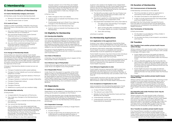# <span id="page-5-0"></span>**C: Membership**

### **C1: General Conditions of Membership**

### **C1.1: Same Membership Category and Covers**

All Members under the same Membership shall:

- a. Belong to the same Membership Category, and
- b. Have the same Cover or Covers

### **C1.2: Levels of Cover**

Subject to other Fund Rules, a Member may (at any one time) have a Membership under only one of the following:

- a. Any one Hospital Product that Covers Hospital Treatment set out in Schedule H;
- b. Any one Extras Product that Covers General Treatment set out in Schedule I;
- c. Any combination of a Hospital Product and an Extras Product Covering Hospital Treatment and General Treatment set out in Schedules H and I;
- d. Any one of the combined package Products Covering Hospital Treatment and General Treatment set out in Schedule J;

The available product combinations are outlined in Schedules H and I.

### **C1.3: Change of Membership Details**

Policyholders are required to advise Frank Health Insurance of any changes to Membership details within two months of such changes. Frank Health Insurance is not obligated to allow any changes to have effect greater than two months prior to the date advised. Suspension of a policy cannot be made retrospectively unless with the approval of the Fund.

Changes in Membership details include, but are not limited to:

- a. Change of residential and/or postal address;
- b. Change of contact details such as email address or telephone number;
- c. Change of Premium payment details or Premium payment method;
- d. Change of details or method for receipt of Benefits;
- e. Change of Dependant status;
- f. Change of name;
- g. Change of Partner;
- h. Additions to a policy such as a newborn baby.

### **C1.4: Membership Authority**

A Policyholder:

- a. Is responsible for the payment of Premiums;
- b. May make any changes to the Membership as required;
- c. Can submit claims on behalf of all Members of the Membership;
- d. Can cancel the Membership
- e. Can, in writing or in any other approved way, request that the Partner or the holder of a Power of Attorney be treated as authorised to operate the Membership (except to cancel the Membership) as if the Partner or Power of Attorney is the Policyholder. The Policyholder may withdraw this authority at any time by written notice.
- f. Can, in writing or in any other approved way,

request a person not on the Policy be treated as authorised to access personal and sensitive information about the Membership and claim on the Policyholder's behalf. This person will not be authorised to make any changes to the Membership.

### A Partner may:

- a. Make changes to their own details;
- b. Submit claims on behalf of all Members of the Membership;
- c. If authorised as set out in Rule C1.4.e, make any changes to the Membership as required
- Any other Member on the Membership may:
- a. Submit claims on behalf of all Members on the Membership.

### **C2: Eligibility for Membership**

### **C2.1: Membership Eligibility**

Frank Health Insurance Products are designed for people who have full Medicare eligibility and, while the Fund will not refuse Membership to people on the basis of their residency or Medicare status, potential Members who are classed as overseas visitors may be responsible for large Out of Pocket expenses if they are not a permanent resident or do not have full Medicare eligibility.

Any person may be eligible for any Product or combination of Products as set out in and in accordance with Fund Rule C1.2.

### **C2.2: State of Residence**

A Member may hold Membership only in respect of the Policyholder's State of Residence.

### **C2.3: Minimum Age of Policyholder**

Unless otherwise approved by the Fund, persons aged under 18 are not eligible to be a Policyholder.

### **C2.4: Responsible Person**

Under Rule C2.3, the parent or guardian of the Child agrees to take out the Membership on behalf of the Child, to handle the maintenance of the Membership, be responsible for payment of Premiums and notifying Frank Health Insurance of changes to the Membership and the Child will be taken to be the insured person under the Membership, who is entitled to receive Benefits.

- a. Frank Health Insurance may apply all relevant Waiting Periods to any Benefits under the new Product that were not provided under the Previous Cover;
- b. Where a Benefit payable by the Fund under the new Product is higher than that payable under the Previous Cover, the lower Benefit will be paid from the Fund until the required Waiting Period with the Fund has been served;
- c. Frank Health Insurance may apply all relevant Waiting Periods to the unexpired portions of any Waiting Periods not fully served under the Previous Cover

### **C3: Dependants**

### **3.1: Addition to a Membership**

Dependants can be added to a Membership at any time as long as the option is available on the Product.

Where the Membership was a Single Membership prior to a Dependant being added, the Membership Category will be amended from the date the Dependant is added. Premiums for the Membership will be adjusted accordingly.

### **C3.2: Dependant Coverage**

Dependants are Covered on a Family or Single Parent Membership until:

- a. 21 years of age, or
- b. 25 years of age if they are studying full time, are undertaking a recognised apprenticeship or traineeship or are completing a life-skills course.

A person who ceases to be eligible to be a Dependant Child on a Membership can join Frank Health Insurance without serving any Waiting Periods (other than the balance of the unexpired Waiting Period for that Benefit under the previous Membership) if:

- a. The Benefits provided under the new Product are no higher than the Benefits provided under the previous Membership; and
- b. The person applies for a Membership within 60 days of ceasing to be a Dependant Child.
- c. The Dependant backdates their policy start date to;
	- i. The date of their 21st birthday if not eligible as a student Dependant;
	- ii. April 1 of the year after completion of studies if no longer eligible as a student Dependant;
	- iii. Their 25th birthday;

whichever is earliest.

### **C4: Membership Applications**

### **C4.1: Application in the approved form**

A person may make an application required by these Fund Rules in writing, by telephone or by any other oral or electronic means approved by Frank Health Insurance.

All relevant information reasonably requested by Frank Health Insurance to establish and maintain a Membership must be supplied by the applicant.

Frank Health Insurance may from time to time introduce or vary procedures or requirements with respect to applications made under this Fund Rule.

An application to join the Fund will be accepted by Frank Health Insurance only once the initial payment of the Premium required from the applicant is received by Frank Health Insurance.

### **C4.2: Refusal of Application to Join**

Frank Health Insurance reserves the right to reject any application for admission to the Fund as a Member including where the applicant was a former Member of the Fund whose Membership was cancelled under Fund Rule C8.

Frank Health Insurance will not reject any Membership application for reasons described as improper discrimination under the Private Health Insurance Act.

### **C4.3: Acceptance of Application to Join**

Upon acceptance of a Membership application, Frank Health Insurance will provide the Policyholder with;

- a. A copy of these Fund Rules;
- b. The relevant up to date PHIS;
- c. Details of what the Membership Covers and how Benefits are calculated;
- d. A Membership certificate;
- e. A Membership card for each Adult and for any Dependant/s as requested.

# **C5: Duration of Membership**

### **C5.1: Commencement of Membership**

A Membership commences on the latter of:

- a. The time and date on which an application is received by Frank Health Insurance; or
- b. The date nominated on the application form, or
- c. A date mutually agreed between the Policyholder and Frank Health Insurance,

provided that the Policyholder has paid Premiums from the date of commencement and all application procedures are completed to the satisfaction of Frank Health Insurance.

### **C5.2: Termination of Membership**

A Policy terminates:

- a. On the date it is cancelled by a Policy Holder in accordance with Rule C7; or
- b. On the date the Policy is terminated in accordance with Rule C8.

### **C6: Transfers**

### **C6.1: Transfers from another private health insurer within 30 days**

Where a person who was insured under a Previous Cover transfers to Frank Health Insurance Product with a break in coverage of 30 days or less:

### **C6.2: Transfers from another private health insurer outside 30 days**

Where a person who was insured under a Previous Cover transfers to a Frank Health Insurance Product with a break in coverage of more than 30 days, the person will be treated as a new Insured Person to the extent permitted under the Private Health Insurance Act and Frank Health Insurance may apply the Waiting Periods in full.

### **C6.3: Benefits paid under Previous Cover may be taken into account**

Where a person who was insured under a Previous Cover transfers to a Frank Health Insurance Product with a break in coverage of 30 days or less, Frank Health Insurance may take into account any Benefits that have been paid in the relevant Calendar Year under the Previous Cover in calculating Annual Benefits Limits and determining the Benefits payable under the new Product for the remainder of that Calendar Year.

### **C6.4: Transfers to another private health insurer**

If an Insured Person transfers to a policy of private health insurance with another private health insurer, Frank Health Insurance will provide the Policyholder, or another such person as they nominate with a certificate in accordance with the Private Health Insurance Act.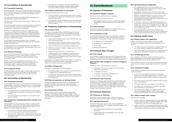### <span id="page-6-0"></span>**C7: Cancellation of Membership**

### **C7.1: Cancellation Requests**

The Policyholder may cancel a Membership by advising Frank Health Insurance in writing or as otherwise agreed by us. The date of cessation of the Membership will be the later of the:

The date requested by the Policyholder (provided the Membership is paid to that date); or

The date of the most recent claim paid in respect of the Membership.

If the Policyholder does not nominate a date of cessation, it will be the date on which Frank Health Insurance received your request for cancellation.

A Partner or Dependant Child who is aged 18 or over may remove himself or herself from a Membership by notifying Frank Health Insurance in writing. The date of cessation will be the later of the date requested by the Partner or Dependant Child and the date Frank Health Insurance receive the notice.

Frank Health Insurance may terminate the Policy of any Policyholder or terminate a Member from a Membership (with or without advanced written notice) on any of the following grounds:

Frank Health Insurance will issue you a Transfer Certificate within 14 days of you ceasing to be Covered under a Membership.

If a Membership is to be cancelled due to the death of a Policyholder, the cancellation will take effect from the day after his or her death.

### **C7.2: Refund of Premiums**

If you cancel the Membership before the date on which the next Premium is due, Frank Health Insurance will reimburse any Premiums paid in advance of the termination date.

Where a refund is owing following the death of a Policyholder, Frank Health Insurance will refund any Premiums paid in respect of the period after the cancellation date to the Estate of the Policyholder.

### **C7.3: Cooling Off Period**

If a Policyholder has not made a claim, they can cancel their cover within the first 30 days of Membership (cooling off period) and receive a full refund of any Premiums paid.

### **C8: Termination of Membership**

### **C8.1: Termination Generally**

- a. The application for the Membership is discovered to have been incomplete or inaccurate in a material respect;
- b. The Membership is in Arrears for a period of more than 2 months.

### **C8.2: Termination of Membership Where Member Acts Improperly**

Frank Health Insurance may, by notice in writing to the Policyholder, terminate the Policy of any Policyholder or terminate a Member from a Membership where, in the opinion of Frank Health Insurance;

- a. Any Member had committed or attempted to commit fraud upon Frank Health Insurance;
- b. Any Member materially or repeatedly breached any of these Fund Rules or any other term or condition of Membership

c. Any Member included in the Membership has behaved inappropriately towards Frank Health Insurance staff, providers or other Members.

### **C8.3: Member Entitlements on Termination**

Unless Fund Rule 8.1.a or 8.2.a apply:

- a. The termination of the Membership will not affect any rights accrued by the Member prior to the date of termination; and
- b. The Member will be entitled to a pro-rata refund of any Premium paid for any period beyond the date of termination.

### **C9: Temporary Suspension of Membership**

### **C9.1: Overseas Travel**

Members may suspend their Membership for periods of overseas travel by advising Frank Health Insurance over the phone or as otherwise agreed by Frank Health Insurance provided they:

- a. The Age Based Discount will be based on a Member's age when they become insured under an eligible Hospital Product.
- b. Age Based Discounts start at 10% for Members aged 18-25 and decrease by 2% each year to age 29.
- c. Where a Hospital Product Covers more than one Adult the amount of discounted Premiums is calculated by averaging the discounted Premiums applicable to each Member.
- d. A member receiving an Age Based Discount will continue to receive the discount until the age of 41 whilst they remain on an eligible Product. After age 41, the discount will be removed at a rate of 2% per year until the age of 45.
- e. Any Age Based Discount that a Member was receiving at a previous fund will not be carried over when that Member joins Frank Health Insurance.

- a. Have held 12 months continuous Membership with the Fund since joining;
- b. Have had a minimum of 6 months active Cover since any previous Suspension for overseas travel;
- c. Have paid Premiums to the date of departure;
- d. Will be overseas for at least 4 weeks and not more than 3 years; and
- e. Apply for Suspension prior to departure.
- f. A Policyholder with two different types of Cover (i.e a Hospital Product and General Treatment Product) may not suspend one Cover without also suspending the other.

Suspensions can apply to the Membership or individual Members as required, however, dependants cannot remain on a policy without a policyholder.

### **C9.2: Effect of Suspension**

During the Suspension of a Membership:

- a. The Policyholder is not required to pay Premiums in respect of the Membership; and
- b. Any Member Covered by the Policy is not entitled to payment of Benefits for services provided during the Suspension.

### **C9.3: Effect of Suspension on Waiting Periods**

Periods of Suspension do not count towards Waiting Periods. Therefore, the balance of all outstanding Waiting Periods must be served upon reactivation of Membership.

### **C9.4: Reactivation of Policy**

Memberships will be automatically reactivated based on the date provided by the Member. If the Member's reactivation date changes whilst overseas it is the Member's responsibility to inform Frank Health Insurance.

# **D: Contributions**

### **D1: Payment of Premiums**

### **D1.1: Premiums Payable in Advance**

Members must pay Premiums in advance.

Available payment frequencies are

a. Direct debit bank account or credit card: Weekly, fortnightly, monthly, quarterly, 6 monthly and yearly.

### **D1.2: State Premiums**

Premiums may differ based on the State or Territory in which the Member permanently resides.

### **D1.3: Contribution Groups**

Frank Health Insurance may, at its discretion, approve any group of Members to be a Contribution Group. A Contribution Group may include, but is not limited to:

- a. Employees of an organisation;
- b. Members of an association;
- c. Frank staff;
- d. Brand ambassadors.

### **D2: Premium Rate Changes**

### **D2.1: Rate Change**

Frank Health Insurance may vary the Premiums for any Product in accordance with these Fund Rules and any requirements set out in the Private Health Insurance Act.

### **D2.2: Premium Rate changes as a result of changes to Products**

Premium rates may change as a result of:

- a. A change in Premiums in line with the Private Health Insurance Act;
- b. A change in Product;
- c. A change in the State of Residence; or
- d. A change in Policy Category

### **D2.3: Premium Rate Protection**

Subject to changes under Rule D2.2.a where Premiums are paid by or on behalf of a Policy Holder in advance, a Premium Rate change that takes effect during the period in which that Policy Holder's Premiums have been paid in advance will not take effect until the Policy Holder's next Premiums fall due.

### **D3: Premium Discounts**

### **D3.1: Discounts on Premiums**

Discounts may be applied up to 12% per annum in accordance with Private Health Insurance Legislation.

### **D3.2: Age Based Discounts**

Premium discounts of up to 10% will be available to Members aged 18 to 29 on eligible Hospital Products. The eligible Products are:

- a. Frank Bronze Plus Bundle (with Age Based discount)
- b. Frank Kickstarter Bundle (Basic Plus with Age Based discount)

### **D3.3: Age Based Discount Application**

### **D4: Lifetime Health Cover**

### **D4.1: Lifetime Health Cover Application**

Subject to Rule D4, Frank Health Insurance must increase the Hospital Policy Premiums applying to an Adult if:

- a. The Adult was not Covered by a Hospital Policy on his or her Lifetime Health Cover Base Day; or
- b. The Adult ceases to be Covered by a Hospital Policy after his or her Lifetime Health Cover Base Day.

### **D4.2: Certified Age of Entry**

Any increase in Premiums under this Rule must be calculated based on the Adult's Lifetime Health Cover Age as specified in Division 34 of the PHI Act.

Frank Health Insurance must stop increasing Premiums under Rule D4 where required by Division 34 of the PHI Act.

### **D4.3: Loading Not to Apply**

Frank Health Insurance must not increase Premiums under Rule D4 if:

- a. At the time the Adult first took out a Hospital Policy with a Private Health Insurer, the 1st of July following the Adult's 31st birthday had not arrived; or
- b. The Adult was Covered by a Hospital Policy on and since 1 July 2000; or
- c. The Adult was born on or before 1 July 1934; or
- d. An Adult who turned 31 on or before 1 July 2000 was overseas on 1 July 2000; or
- e. The Adult is the subject of a determination (with effect immediately before 1 April 2007) under clause 10 of Schedule 2 of the National Health Act.

### **D4.4: Lifetime Health Cover Loading**

The Premium payable:

- a. Under rule D4.1.a increases by 2% of the Base Rate for each year the Adult's Lifetime Health Cover Age is above 30 up to 70% of the Base Rate; and
- b. Under rule D4.1.a increases by 2% for each year the Adult is not Covered by a Hospital Policy (calculated in accordance with section 34-5 of the PHI Act).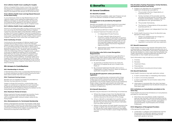### <span id="page-7-0"></span>**D4.5: Lifetime Health Cover Loading for Couples**

Where a Hospital Policy Covers more than one Adult the amount of increased Premiums is calculated by averaging the increased Premiums applicable to each Adult in accordance with section 37-20 of the PHI Act.

### **D4.6: Lifetime Health Cover and Age Based Discount on the Same Policy**

In circumstances where an Age Based Discount and Lifetime Health Cover loading are applicable to two different members on the same policy, the discount and loading will be applied to the relevant person's proportion of the policy's base rate for Hospital Cover.

### **D4.7: Lifetime Health Cover Loading Removal**

Premium increases stop after 10 years continuous Cover (not counting any Permitted Days Without Hospital Cover) but may start again if the Member ceases to have a Policy which Covers Hospital Treatment as specified in the PHI Act. Lifetime Health Cover recognises continuous Cover even if the Member has had a Policy which Covers Hospital Treatment from more than one health fund.

### **D4.8: Continuity of Cover**

Continuity for the purposes of Lifetime Health Cover is preserved during a period in which the Member ceases to have a Policy which Covers Hospital Treatment for a cumulative period of 1,094 days or otherwise in accordance with the PHI Act (known as Permitted Days Without Hospital Cover). However, after exceeding 1,094 Permitted Days Without Hospital Cover, a person must pay an additional loading of 2% of the Base Rate Premium for every year without Hospital Cover (excluding Permitted Days Without Hospital Cover) on top of any previous loading. If a person takes out a Hospital Policy again after exceeding 1,094 Permitted Days Without Hospital Cover, the person must re-serve 10 years of continuous Hospital Cover before Premiums stop increasing.

### **D5: Arrears in Contributions**

### **D5.1: Memberships in Arrears**

A Membership (other than a suspended Membership) is in Arrears whenever the date to which Premiums have been paid is earlier than the current date.

### **D5.2: Treatment During Arrears**

Benefits are not payable for treatment provided to a Member during a period of Arrears.

Subject to Rules D5.3 and D5.4, a Policyholder may regain an entitlement to Benefits for such treatment by paying all outstanding Premiums including the minimum amount of advance Premiums relevant to the Policyholder, as specified in Rule D1.1.

### **D5.3: Maximum Period of Arrears**

When a period of Arrears exceeds two months, Frank Health Insurance may terminate a Membership with immediate effect without written notice to the Policyholder.

# **D5.4: Reinstatement of a Terminated Membership**

Where a Membership has been terminated under Rule 5.3, Frank Health Insurance has a discretion to reinstate the Membership at the request of the Policyholder, with continuity of entitlements, subject to payment of all Premiums as required under Rule 5.2.b.

# **E: Benefits**

### **E1: General Conditions**

### **E1.1: Benefits Available**

Details of Benefits available under each Product are set out in the relevant Schedule of these Fund Rules.

### **E1.2: Treatment to be provided by Recognised Providers**

Benefits are payable only where treatment Is provided by a Recognised Provider. Frank Health Insurance recognises the following providers:

- a. Hospitals (as defined in these rules), and
- b. General Treatment Providers who are:
	- i. In independent Private Practice,
	- ii. For each relevant class of service or treatment, satisfy all applicable recognition criteria with Medicare or other Frank Health Insurance approved industry body such as the Australian Regional Health Group and Australian Health Practitioner Regulation Agency (AHPRA);
	- iii. Approved by Frank Health Insurance in its absolute discretion

### **E1.3: Providers who Fail to meet Recognition Requirements**

Frank Health Insurance will decline to pay Benefits in respect to any claim where Frank Health Insurance has reasonable grounds to believe that at the time the services were provided:

- a. At premises or facilities that do not meet the definition of Hospital as set out in these Fund Rules, or
- b. By a General Treatment Provider who is not in independent Private Practice or does not satisfy an applicable recognition criterion

### **E1.4: No Benefit payment unless permitted by legislation**

Irrespective of anything else contained within these Rules, Frank Health Insurance will not pay a Benefit to Members for a treatment that does not meet the standards in the Private Health Insurance (Accreditation) Rules, unless it has been permitted to do otherwise under any legislative or regulatory instrument, or in any condition of registration.

### **E1.5: Benefit Reductions**

Benefits may be reduced in the following circumstances:

- a. Where the charge is lower than the Benefit that would otherwise have been payable, the Benefit shall be reduced to the amount of the charge;
- b. Where a Benefit is claimable from another source for the same service, the Frank Health Insurance Benefit may be reduced by the amount claimable from the other source, and
- c. Where in the opinion of Frank Health Insurance the charge is higher than the Provider's usual charge for the service, Frank Health Insurance may assess the claim as if the Provider's usual charge had been applied.

### **E1.6: Providers Treating Themselves, Family Members, and Business Partners and Family**

- a. Subject to b), Benefits are not payable for treatment rendered by a provider to:
	- The provider's Partner, Dependants, or business partner, or
	- ii. Family members of the provider and the providers business partner including: wife/ husband, brother/sister, children, parents, grandparents and grandchildren, or
	- iii. The provider themselves,
	- iv. The Partner or Dependants of the provider's business partner, or
	- v. Any other person not independent from the practice.
- b. Frank Health Insurance may at its discretion pay Benefits in these cases:
	- Where it is satisfied that the charge is a legally enforceable debt, or
	- ii. In respect of the invoiced cost of materials required in connection with any treatment.

### **E1.7: Benefit Assessment**

Frank Health Insurance may request information from a Policyholder or their health service provider prior to or after the payment of Benefits. Information requested will be directly related to a claim where the Policyholder has made a declaration requesting Benefits be paid to the Policyholder or their health service provider.

Such information may include but is not limited to:

- a. Invoices;
- b. Receipts;
- c. Treatment Plans;
- d. Prescriptions;
- e. Medical/Patient records and clinical notes.

### **E1.8: Benefit Restitution**

Frank Health Insurance may seek restitution where:

- a. A claim contains false or misleading information;
- b. A claim is incorrectly assessed;
- c. A claim is paid after the termination date of the Membership;
- d. Information is received after the claim has been paid which establishes that the Benefit should not have been paid.

### **E1.9: Limitations on Consultations provided on the Same Day**

Frank Health Insurance has limitations on Consultations provided on the same day.

a. More than one consultation and/or treatment type per day has been claimed and performed by the same provider within a group of chiropractors (excluding X-Ray), acupuncturists, osteopaths, physiotherapists, myotherapists and remedial masseuses.

### **E1.10: Obligations of Recognised Providers**

A Recognised Provider must:

a. Undertake in a diligent and professional manner the provision of treatment, goods or services to Members and maintain the quality of the treatment, goods or services;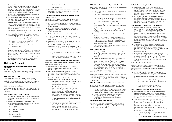- <span id="page-8-0"></span>b. Comply with each law, and each requirement arising from a law, and hold and maintain every required licence, permission and registration necessary to provide treatment, goods or services to Members including as required by the Private Health Insurance (Accreditation) Rules;
- c. Conform to the general standards required by all relevant regulatory bodies;
- d. Not act contrary to the interests of Frank Health Insurance or in a way which brings Frank Health Insurance into disrepute;
- e. Promptly advise Frank Health Insurance of any event or occurrence that the Recognised Provider is aware of which may reasonably be expected to lead to a complaint about Frank Health Insurance from any person;
- f. Not provide information to Frank Health Insurance which is false or misleading;
- g. Not mislead or deceive Frank Health Insurance in any other manner including by failing to provide true and full information at any time;
- h. Not act or attempt to act improperly so as to:
	- Obtain an unfair advantage for himself/ herself or another person; or
	- ii. Cause loss or damage to Frank Health Insurance; and
- i. Only provide a treatment, good or service to a Member while engaging in Private Practice if they do not otherwise make that treatment, good or service available to persons while not engaging in Private Practice;
- Benefits will be paid in accordance with the Clinical Categories as set by the Department of Health including the relevant MBS item numbers.

### **E2: Hospital Treatment**

### **E2.1: Hospital Benefits Payable according to the Schedules**

The Benefits payable in respect of Hospital Treatment and the conditions relevant to those Benefits are set out in these Fund Rules and associated Schedules.

### **E2.2: Same Day Patients**

Benefits for same day Hospital accommodation are payable only where the Member is an Admitted Patient or where a Benefit is payable under a Hospital Purchaser-Provider Agreement with that Hospital.

### **E2.3: Day Hospital Facilities**

Benefits for Admitted Patients of Day Hospital Facilities are payable in accordance with guidelines issued by the Minister.

### **E2.4: Patient Classification Principles**

- a. Benefits for accommodation in Private Hospitals are payable according to the classification of the Patient.
- b. Patients are classified in accordance with guidelines issued by the Department of Health. These patient classifications are:
	- i. Surgical
	- ii. Advanced Surgical
	- iii. Obstetric
	- iv. Other (Medical)
	- v. Psychiatric Care
- vi. Palliative Care, and
- vii. Rehabilitation
- c. Frank Health Insurance may permit further subclassifications of Patients when not inconsistent with these guidelines.

### **E2.5: Patient Classification: Surgical and Advanced Surgical Patients**

Subject to Rule E2.11, the Benefit payable under the surgical and advanced surgical classifications applies:

- a. From the date of admission, where the operative procedure is performed on the first or second day of admission, or
- b. From the date of the procedure, where the operative procedure is performed on the third day of admission or later.

### **E2.6: Patient Classification: Obstetrics Patients**

- a. The Obstetric classification applies only where childbirth occurs following the mother's admission to a Hospital.
- b. Where labour resulting in childbirth commenced before admission, the Obstetric classification applies from the date of admission.
- c. Where labour commenced after admission, the obstetric classification applies from the earliest of:
	- i. The date on which labour commenced, or
	- ii. The date on which an obstetric procedure took place, or
	- iii. Any other date that Frank Health Insurance may at its absolute discretion specify.

### **E2.7: Patient Classification: Rehabilitation Patients**

Benefits for Rehabilitation Patients are payable subject to the following conditions:

- a. Rehabilitation Patient means an Admitted Patient or Outpatient receiving treatment for rehabilitation.
- b. Approved Rehabilitation Program means a Program that is approved by the Fund for the purpose of paying Benefits at the Rehabilitation Patient rate.
- c. Benefits at the Rehabilitation Patient rate are payable subject to the following conditions:
	- Rehabilitation treatment in a Private Hospital must be provided as part of an approved rehabilitation Program
	- ii. The Fund may require the treatment to be supported by a Rehabilitation Care Certificate in a form approved by the Fund or some other form of documentation to support the need for the Patient to participate in a Program to assist in recovery from an Acute Catastrophic Illness or Injury.
	- iii. The service is not a Restricted Service under the Cover.
	- iv. Subject to the service not being a Restricted Service under the Cover, Benefits for Rehabilitation Patients who receive treatment in other than an approved rehabilitation Program are payable at the applicable Other (Medical) Patient rate.

### **E2.8: Patient Classification: Psychiatric Patients**

Benefits for Psychiatric Care patients are payable subject to the following conditions:

- a. Treatment must be supported by a Psychiatric Care Certificate;
	- A further psychiatric care certificate is required:
	- ii. For each period specified in any certificate where treatment as a Psychiatric Care beyond 35 days is provided; and
- b. For any subsequent readmission as a Psychiatric Care patient that does not constitute Continuous Hospitalisation
- c. Psychiatric Care Benefits are not payable for any Member under the custodial care of a State or **Territory**
- d. The service is not a Restricted Service under the Cover;
- e. Subject to the service not being a Restricted Service under the Cover, Benefits for Psychiatric Patients who receive Treatment in other than an approved psychiatric Program are payable at the Other (Medical) Patient rate;
- f. The member has used the Mental Health Waiver to upgrade their level of cover.

### **E2.9: Counting of Days**

- a. The day on which a person became an Admitted Patient and the day of discharge are counted as one day for the purpose of assessing Benefits payable;
- b. Days spent in a special unit (such as an intensive care, critical care, coronary care, or high dependency nursing care unit) do not interrupt the counting of days in relation to the Patient classification on entering the unit. To avoid doubt, Benefits payable upon discharge from the special unit will be paid at the classification applicable upon entering the unit, after taking into account any days spent in the unit.

### **E2.10: Patient Classification: Multiple Procedures**

Subject to these Fund Rules, where a Patient undergoes more than one operative procedure during the one theatre admission, the procedure with the highest fee in the Medicare Benefits Schedule determines the Patient's classification.

### **E2.11: Patient Classification: Subsequent Procedures**

Where a Patient undergoes a subsequent operative procedure during the same period of hospitalisation:

- a. Where the procedure results in the Patient having a higher classification, the Patient's classification increases from the date of the procedure; and
- b. Where the procedure would otherwise have resulted in the Patient moving to a lower classification, the Patient's classification is unchanged.

### **E2.12: Special Care Unit Patients**

The higher Benefits for Patients of Special Care Units are payable only for periods during which the Patient occupies a bed in a facility approved by Frank Health Insurance for this purpose.

### **E2.13: Continuous Hospitalisation**

- a. Where an overnight Admitted Patient is discharged, and within seven days is admitted to the same or a different Hospital for the same or a related Condition, the two admissions are regarded as forming one period of continuous hospitalisation.
- b. In the case where the Hospitals are different, Benefits at the Advanced Surgical, Surgical or Obstetric levels are payable in respect of the later admission only if an appropriate procedure is rendered following that admission.

### **E2.14: Agreements with Doctors and Hospitals**

- a. Frank Health Insurance has negotiated Participating Private Hospital Agreements. These agreements provide Members Covered by a Hospital Product or Combined Product (subject to any Exclusions and/or restrictions) with Cover for accommodation (shared and/or private room depending on level of Hospital Product), theatre, delivery suite, intensive/coronary care and a range of services provided by the Participating Private Hospital (subject to any Excess and/or Co-Payment applying
- b. Where a Member is charged for a professional Medical Treatment or service where a Medical Purchaser-Provider Agreement applies, the Benefits will, unless otherwise stated in these Fund Rules, be as specified in the Medical Purchaser-Provider Agreement.
- c. Fixed Benefits are payable for hospitalisation in non-Participating Private Hospitals. Significant Out of Pocket expense may be incurred for treatment in non-Participating Private Hospitals. Members should contact Frank Health Insurance for further details.

### **E2.15: AHSA Access Gap Cover**

The Schedules referred to in these Fund Rules shall provide that the Benefits under AHSA Access Gap Cover arrangements are payable subject to the following conditions:

- a. A Medical Practitioner who provides Hospital Services under AHSA Access Gap Cover shall give the Member written advice of any amount the Member can reasonably be expected to pay for those services:
	- i. If possible, the advice shall be given before such services are provided, or otherwise as soon as practical, and
	- ii. The recipient of the advice shall acknowledge receipt of the advice.

### **E2.16: Pharmaceuticals provided in Hospitals**

- a. Where a Hospital Product includes Benefits for PBS Medications the Benefit will meet the full cost of the pharmaceutical if it is directly related to the treatment for which the Insured Person was admitted;
- b. The full cost referred to in a) includes the patient Co-Payment, and any special or patient contribution, brand premium or therapeutic premium otherwise payable by the patient under the Pharmaceutical Benefits Scheme; and
- c. Benefits for non-PBS medications supplied to Insured Persons are payable in accordance with the agreement with the Hospital if:
	- i. The Benefit is specifically included in the agreement with the Hospital; and
	- ii. The pharmaceutical is directly related to the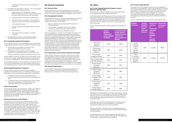treatment for which the Insured person is admitted.

- <span id="page-9-0"></span>d. The Benefits described in E2.15.a–c are only payable for pharmaceutical items that are:
	- Approved by the Therapeutic Goods Administration Council for use in Australia for the use prescribed during the admission;
	- ii. Published within the MIMS schedule; and
	- iii. Where the item is intrinsic to the patient's episode of care. No Benefits are payable for:
	- i. Contraceptive drugs;
	- ii. Drugs issued for the sole purpose of use at home;
	- iii. Ward drugs;
	- iv. Pharmacy items charged in a Public Hospital;
- e. Any agreement under a Hospital Purchaser-Provider Agreement may override this Rule.

### **E2.17: Surgically Implanted Prosthesis**

Frank Health Insurance will pay Benefits for prostheses surgically implanted as part of Hospital Treatment when:

- a. Prosthesis are provided to a patient with appropriate health insurance cover;
- b. Prosthesis are provided as part of hospital treatment or hospital substitute treatment; and
- c. There is a Medicare benefit payable for the service.

Frank Health Insurance will pay an amount equal to the full cost of "no gap" prostheses and an amount equal to the Minimum Benefit for "gap permitted" prostheses.

Non-listed prosthesis: If the prosthesis or medical device is not on the Prostheses List, Frank Health Insurance is not required, by law, to pay for the non-listed prosthesis.

### **E2.18: Hospital-Substitute Treatment**

- a. By or on behalf of a Recognised Practitioner in Private Practice;
- b. On premises registered with Frank Health Insurance, unless otherwise approved; and
- Where services are provided face to face.

Frank Health Insurance will only Cover Hospital-Substitute Treatment that is provided by a Recognised Practitioner who is a general or specialist nurse where:

- a. A Medical Practitioner has certified that the treatment being provided replaces hospitalisation; and
- b. A Medical Practitioner appointed by Frank Health Insurance assesses such certification to be medically reasonable and appropriate.

### **E2.19: Consumables**

All dressings, single-use equipment, single-use medical devices and disposables (including laparoscopic and robotic disposables unless approved by Frank Health Insurance prior to surgery) are included in the procedure and/or accommodation rates and will not be paid for separately by the fund.

### **E2.20: Nursing Home Type Patient**

If you become a Nursing Home Type Patient, Frank Health Insurance will pay Nursing Home Type Patient Benefits for the duration of your classification as a Nursing Home Type Patient. Patients who require stays more than 35 days may become nursing home type patients (NHTP), services are paid at a different rate compared to an acute care patient. You will be required to make a contribution to the cost of your care at a rate as declared by the Minister from time to time to cover the cost of your accommodation.

### **E3: General Treatment**

### **E3.1: Annual Limits**

Frank Health Insurance will pay Benefits for General Treatment (other than Hospital-Substitute Treatment) up to any limit per period (if any) that applies to your Cover.

### **E3.2: Recognised Providers**

Frank Health Insurance will only pay Benefits for General Treatment (not where provided as part of Hospital Treatment) where it is provided:

For the avoidance of doubt, Frank Health Insurance will not pay Benefits for treatment provided by someone who was not a Recognised Practitioner at the time that person provided the treatment. Frank Health Insurance has sole and absolute discretion in determining if someone becomes or remains a Recognised Practitioner and for which of their treatments Frank Health Insurance will pay Benefits. Frank Health Insurance may choose to "de-recognise" someone from being a Recognised Practitioner for reasons including, but not limited to, fraudulent behaviour or the agreement governing the relationship between Frank Health Insurance and that person comes to an end.

### **E3.4: Agreements with General Treatment Providers**

Frank Health Insurance may, from time to time, enter into agreements with providers of General Treatment. The Benefits that apply under these agreements may differ from, and will take precedence over, those shown in general information about our Products. Lists of providers of General Treatment with whom Frank Health Insurance have agreements are available on our website.

### **E3.5: Benefit Restrictions**

Frank Health Insurance will only pay Benefits for one type of service of General Treatment provided by a Recognised Practitioner in Private Practice per day.

### **E4.1: Frank Hospital Rewards (Program closed effective April 30, 2021)**

Members who held an eligible Frank Hospital Product were eligible for Frank Hospital Rewards.

Frank Rewards were first paid upon the join date, and then each year on the Member's Anniversary Date to a maximum capped amount. Once the capped amount was reached, no further Frank Hospital Rewards were accrued until the balance returns to a figure less than that of the cap.

Frank Hospital Rewards were accrued at the following rates:

|                                                 | <b>Single</b><br><b>Reward</b><br><b>Dollars per</b><br>year (capped<br>at \$500) | Couple/Family/<br><b>Single Parent</b><br><b>Family Reward</b><br><b>Dollars per</b><br>year (capped at<br>\$1000) |  |
|-------------------------------------------------|-----------------------------------------------------------------------------------|--------------------------------------------------------------------------------------------------------------------|--|
| Frank Top<br>Hospital<br>(Silver+)              | \$75                                                                              | \$150                                                                                                              |  |
| Frank Max<br>Hospital 750<br>(Silver+)          | \$75                                                                              | \$150                                                                                                              |  |
| <b>Frank Silver</b><br>Hospital (Silver)        | \$55                                                                              | \$110                                                                                                              |  |
| <b>Frank Essentials</b><br>Bundle (Silver)      | \$55                                                                              | \$110                                                                                                              |  |
| <b>Frank Better</b><br>Hospital<br>(Bronze+)    | \$55                                                                              | \$110                                                                                                              |  |
| <b>Frank Private</b><br>Hospital<br>(Bronze)    | \$40                                                                              | \$80                                                                                                               |  |
| Frank Basic<br><b>Hospital Plus</b><br>(Basic+) | \$40<br>\$80                                                                      |                                                                                                                    |  |
| <b>Frank Basic</b><br>Hospital<br>(Basic+)      | \$40<br>\$80                                                                      |                                                                                                                    |  |
| Frank Starter<br><b>Bundle (Basic)</b>          | \$40                                                                              | \$80                                                                                                               |  |

Members will receive their final Frank Rewards accrual as a pro-rata amount, calculated on the closure date of April 30 2021, on their next Membership Anniversary Date (or April 1 2022 for members joining prior to April 1 2014) up to April 30 2022.

Members with a Frank Rewards balance will then have until April 30 2024 to use this balance. Any balance outstanding after this time will be forfeited.

Where a Member transfers from an eligible policy to an ineligible policy, any outstanding Frank Rewards Balance will be forfeited.

Frank Rewards can be claimed against Medical Out of Pocket costs. This occurs automatically 60 – 90 days after the Member is discharged from Hospital.

### **E4.2: Frank Loyalty Benefit**

Members who hold eligible products will be eligible for the Frank Loyalty Benefit. Frank Loyalty Benefit increases the eligible Annual Limits after each full calendar year is served up to a maximum of 4 years of continual cover. The increased benefit will be available on 1 January after each full calendar year has been served. Loyalty Limit applies to specific services as outlined within the product.

Franks Loyalty Benefit is accrued at the following rates:

| <b>Eligible</b><br><b>Products</b>                                | <b>Loyalty</b><br><b>Benefit</b><br>per full<br>calen-<br>dar year<br>served | <b>Maximum</b><br>number<br>оf<br>continual<br>calendar<br>years<br>served<br>eligible<br>for<br><b>Loyalty</b><br><b>Benefit</b> | <b>Mamimum</b><br>increased<br>benefit |
|-------------------------------------------------------------------|------------------------------------------------------------------------------|-----------------------------------------------------------------------------------------------------------------------------------|----------------------------------------|
| Frank<br>Freedom<br>Starter<br>Flexi-<br><b>Bundle</b><br>(Basic) | \$50                                                                         | 4 years                                                                                                                           | \$200                                  |
| Frank<br>Freedom<br>Saver Flexi-<br><b>Bundle</b><br>(Basic+)     | \$100                                                                        | 4 years                                                                                                                           | \$400                                  |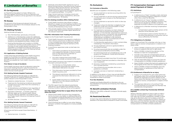# <span id="page-10-0"></span>**F: Limitation of Benefits**

### **F1: Co-Payments**

Co-Payments may apply to a Cover. Where a Co-Payment applies, the amount of the Co-Payment and any applicable conditions will be specified in the relevant Schedule.

### **F2: Excess**

The amount of the Excess and relevant limits and conditions are specified in the Schedule relevant to the Policyholder's Cover.

### **F3: Waiting Periods**

Waiting Periods will apply to:

- a. New Memberships (previously uninsured);
- b. Additions to a Membership (unless the addition/s has already served all Waiting Periods with GMHBA Limited or another private health insurer) except newborns and adopted and foster children; and
- c. Existing Memberships and transfers to GMHBA Limited from another private health insurer where the level of cover and/or benefit entitlement is upgraded or increased (including by reducing the Excess payable) and/or where the Waiting Periods have not been completed.

### **F3.1: Application of Waiting Periods**

Unless otherwise permitted by Frank Health Insurance, subject to Fund Rule C6, a Member must serve the Waiting Periods set out in this Fund Rule F3 before Benefits are payable by Frank Health Insurance under a Product.

### **F3.2: Waiver in Case of Accidents**

Frank Health Insurance may at its discretion waive the two-month Waiting Period in rules F3.3 and F3.4 for treatment required as the result of an Accident occurring within the two-month period.

### **F3.3: Waiting Periods: Hospital Treatment**

The following Waiting Periods apply to a Benefit for Hospital Treatment or Hospital-Substitute Treatment (where relevant to the Policyholder's Cover):

- a. Frank Health Insurance may appoint a medical or other relevant practitioner to determine whether or not a condition for which treatment may be provided and Benefits may be claimed is a Pre-Existing Condition.
- b. A practitioner appointed under a) shall take into account:
	- i. Information provided by the practitioner(s) who treated the Member in the six months prior to their becoming a Member or changing their Cover, and
	- ii. Any other material that Frank Health Insurance consider as relevant to the claim.
- c. Frank Health Insurance may suspend consideration of a claim until such time as:
	- The Member (or Policyholder where appropriate) authorises the release of the information referred to in b), and
	- ii. This information has been provided to Frank Health Insurance, and
	- iii. The relevant practitioner referred to in a) has reviewed the information referred to in b), and
	- iv. Frank Health Insurance is in receipt of the PEC form from the relevant practitioner referred to in a).
- d. The PEC report from the relevant practitioner referred to in a) will determine whether the Pre-Existing Condition Waiting Period will be applied.
- a. Obstetrics related Services 12 months
- b. Treatment for Pre-Existing Conditions (as provided in Rules F3.5 to F3.7) other than the Covered by c) and d) – 12 months
- c. All Rehabilitation and Palliative Care regardless of whether it is a Pre-Existing Condition – 2 months
- d. Psychiatric treatment 2 months unless the Member takes up the Mental Health Waiver once-per-lifetime upgrade in accordance with the Private Health Insurance (Complying Product) Rules 2015
- e. All Other Services 2 months.

### **F3.4: Waiting Periods: General Treatment**

The following Waiting Periods apply to a Benefit for General Treatment for the services shown (where relevant to the Policyholder's Cover):

All services and items except those listed below – 2 months

a. Optical services – 6 months;

- b. Medically prescribed health appliances such as Blood Glucose Monitor, Extremity Pump, Pressure Garments, Sleep Apnoea Monitor, Tens Monitor, Blood Pressure Monitor, Nebuliser Pump, Frank Health Insurance approved orthopaedic appliances, non-surgical prostheses – 12 months;
- c. Major Dental treatment including crowns and bridgework, oral surgery, endodontics, dentures and orthodontics – 12 months.

### **F3.5: Pre-Existing Condition (PEC): Waiting Period**

- a. Frank Health Insurance may refuse or reduce Benefits in respect of a Pre-Existing Condition that is the subject of treatment within the first twelve months of Membership of any Cover;
- b. This rule also applies where a Member transfers to another Cover which provides higher Benefits for the relevant treatment.

### **F3.6: PEC: Information from Treating Practitioner(s)**

Subject to the Private Health Insurance Act:

### **F3.7: PEC Waiting Period Not to Apply Where the Fund Alters the Cover**

- a. Where Frank Health Insurance has changed the terms of a Cover, any higher or additional Benefits now available to existing Members of the Cover are not subject to an additional Pre-Existing Condition Waiting Period.
- b. This Fund Rule has no effect on any other Waiting Period or condition that applies to a newly available Benefit.

### **F4: Exclusions**

### **F4.1: Exclusion of Benefits**

Benefits are not payable in the following cases:

- a. For any treatment or service occurring within the Waiting Periods;
- b. For any treatment or service during a period where contributions are in Arrears or the Membership is suspended;
- c. For any treatment or service for which no fee was charged;
- d. Treatment where the Member is eligible for free treatment under any Commonwealth or State Government Act or program;
- e. For treatment or services or an item where the expense was incurred by the employer of that Member or if the Member obtained that treatment, goods or services in connection with employment, application for employment, an industrial undertaking or profession, a life insurance examination or similar circumstances at Frank Health Insurance's discretion;
- f. If a Membership application or claim contains false, misleading or fraudulent information.
- g. For any treatment, service or good provided or purchased overseas
- h. For pharmaceuticals that are available under the Pharmaceutical Benefits Scheme (PBS),
- i. For pharmaceuticals not considered as a S4 or S8 drug by the Therapeutic Goods Administration;
- All contraceptives
- k. For treatment provided more than 12 months ago;
- l. For Medical Treatment provided to a Member who is an Outpatient;
- m. Services or treatment rendered by a practitioner not in private practice;
- n. Foot orthotics by any provider who is not a podiatrist or orthotist.
- o. Cosmetic services or treatment rendered by a provider.

In addition to the above, a Cover may exclude Benefits for Hospital Treatment as detailed in the associated Schedules to these Fund Rules.

### **F4.2: Non-Residents**

Hospital and Medical Benefits to Members who are Non-Residents of Australia are limited by their Medicare entitlements.

### **F5: Benefit Limitation Periods**

Effective 1 July 2018, no Benefit Limitation Periods apply to any Cover.

### **F6: Restricted Benefits**

A Cover may restrict Benefits for Hospital Treatment as detailed in the associated Schedules to these Fund Rules.

### **F7: Compensation Damages and Provisional Payment of Claims**

### **F7.1: Definitions**

In Fund Rule F7:

- a. A reference to a "Claim" includes a claim, demand, action, proceeding, litigation, judgment or award other than a claim for Benefits;
- b. A reference to an "injury" includes a condition, ailment or injury for which Benefits would or may otherwise be, payable by GMHBA Limited for expenses incurred in relation to its treatment; and
- c. A reference to a Member receiving Compensation includes:
	- i. Compensation paid to another person at the direction of the Member, and
	- ii. Compensation paid to another Member on the same Membership in connection with an injury suffered by the Member.

### **F7.2: Obligations of a Member**

Subject to Fund Rule F7.8, a Member who has, or may have, a right to receive Compensation in relation to an injury, must:

- a. Inform GMHBA Limited as soon as the Member knows or suspects that such a right exists;
- b. Inform GMHBA Limited of any decision of the Member to Claim for Compensation;
- c. Include in any Claim for Compensation the full amount of all expenses for which Benefits are, or would otherwise be payable;
- d. Take all reasonable steps to pursue the Claim for Compensation to GMHBA Limited's satisfaction;
- e. Keep GMHBA Limited informed and updated as to the progress of the Claim for Compensation, and
- f. Inform GMHBA Limited immediately upon the determination or settlement of the Claim for Compensation.

### **F7.3: Entitlement of Benefits for an Injury**

- a. Subject to Fund Rule F7.5, and unless otherwise permitted under this Fund Rule, Benefits are not payable for expenses incurred in relation to the injury where the Member has received, or may be entitled to receive, Compensation in respect of that injury.
- b. The expenses referred to in Fund Rule F7.3a) include expenses incurred after the Member has received any Compensation.

### **F7.4: GMHBA Limited May Provisionally Withhold Payment**

Where a Member appears to have a right to make a Claim for Compensation in respect of an injury but that right has not been established, GMHBA Limited may, at its discretion, elect not to assess a claim for Benefits in respect of expenses incurred in relation to that injury until the Member has taken all reasonable steps to pursue enquiries in relation to the Claim for Compensation to GMHBA Limited's satisfaction.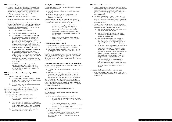### **F7.5: Provisional Payments**

- a. Where a Claim for Compensation in respect of an injury is in the process of being made, or has been made and remains unfinalized, GMHBA Limited may in its absolute discretion make a provisional payment of Benefits in respect of expenses incurred in relation to the injury.
- b. In exercising its discretion, GMHBA Limited may consider factors such as unemployment or financial hardship or any other factors it considers relevant.
- c. A provisional payment is conditional upon the Member signing a legally binding undertaking and acknowledgement supplied by GMHBA Limited, which contains an agreement by the Member, in consideration for the payment:
	- To comply with Fund Rule F7.2;
	- ii. That it is bound by these Fund Rules;
	- iii. To disclose to GMHBA Limited on request, all matters pertaining to the progress of the Claim for Compensation and details of any determination made or any settlement reached in respect of the Claim for Compensation and that the provision of such information to GMHBA Limited does not constitute a waiver of any legal professional privilege or any other forms of privilege;
	- iv. To repay to GMHBA Limited the full amount of the provisional payment as a debt immediately repayable upon the award or settlement of the Claim for Compensation, whether or not the terms of such settlement specify that the sum of money paid under the settlement relates to expenses past or future for which Fund Benefits are otherwise payable; and
	- v. That GMHBA Limited has specified rights of subrogation whereby GMHBA Limited acquires all rights and remedies of the Member in relation to the Claim for Compensation.

- The determination or settlement sum includes the full amount that GMHBA Limited paid; or
- ii. The terms of such settlement specify that the sum of money paid under the settlement relates to expenses past or future in respect of which Benefits are otherwise payable; or
- iii. The relevant Member complied with their obligations under Fund Rule F7.2.

### **F7.6: Where Benefits have been paid by GMHBA Limited**

- a. Subject to Fund Rule F7.9, where:
	- GMHBA Limited has paid Benefits, whether by way of provisional payments or otherwise. in relation to an injury; and
	- ii. The Member has received Compensation in respect of that injury,

the Member must repay to GMHBA Limited the full amount that GMHBA Limited paid in relation to the injury, upon the determination or settlement of the Claim for Compensation.

b. This Fund Rule applies whether or not:

### **F7.7: Rights of GMHBA Limited**

If a Member makes a Claim for Compensation in relation to an injury and fails to:

- a. Comply with any obligation in Fund Rule F7.2 or  $F76$ ; or
- b. Include in their Claim for Compensation any payments of Benefits by GMHBA Limited in relation to any injury,

GMHBA Limited may, without prejudice to its rights (including its broader subrogation rights) in its absolute discretion take any action permitted by law to:

- i. Assume that all expenses in relation to the injury have been met from the Compensation payable or received pursuant to the Claim for Compensation; and/or
- Pursue the Member for repayment of all Benefits paid by GMHBA Limited in to the injury; and/or
- iii. Assume the legal rights of the Member in respect of all or any parts of the Claim for Compensation.

### **F7.8: Claim Abandoned Where:**

- a. a Member has or may have a right to make a Claim for Compensation in respect of an injury, and
- b. GMHBA Limited reasonably determines that the Member has abandoned or chosen not to pursue that Claim,

Benefits are payable (subject to other Fund Rules) if the Member signs a legally-binding undertaking supplied by GMHBA Limited by which the Member agrees, in consideration for the payment of Benefits, not to pursue that Claim.

### **F7.9: Requirements to Repay Benefits may be Waived**

Where, in respect of a Member's Claim for Compensation in relation to an injury:

- a. The Member has complied with Fund Rule F7.2, and
- b. GMHBA Limited has given prior consent to the settlement of the Claim for an amount that is less than the total Benefits paid or which would otherwise have been payable by GMHBA Limited,

GMHBA Limited may in its absolute discretion and subject to any conditions that it considers appropriate, determine that the Member need not repay any part or the full amount of the Benefits paid by GMHBA Limited in respect of that injury.

### **F7.10: Benefits for Expenses Subsequent to Compensation**

GMHBA Limited may, in its absolute discretion, pay Benefits where:

- a. Expenses have been incurred as a result of:
	- i. A complication arising from an injury that was the subject of a Claim for Compensation, or
	- ii. The provision of a service or item for treatment of an injury that was the subject of a Claim for Compensation, and
- b. That Claim has been the subject of a determination or settlement, and
- c. There is sufficient medical evidence that those expenses could not have been reasonably anticipated at the time of the determination or settlement.

### **F7.11: Future medical expenses**

- a. Where it is anticipated that a Member has future medical needs in relation to an injury, the Member must use reasonable endeavours to procure an award or settlement of a Claim for Compensation that includes a specified allocation for future medical expenses.
- b. On request by GMHBA Limited, a Member must provide evidence to GMHBA Limited to establish whether a determination or settlement of a Claim for Compensation includes an allocation for future medical expenses.
- c. Where a determination or settlement of a Claim for Compensation includes an allocation for future medical expenses in relation to an injury:
	- the Member must use that allocation to pay for treatment of that injury;
	- ii. the Fund may refuse to pay Benefits for treatment relating to that injury until the allocation is exhausted;
	- the Member must keep and provide to GMHBA Limited evidence to establish that the allocation has been exhausted on expenses for treatment of that injury; and
	- iv. if the Member cannot provide such evidence, or the allocation has been exhausted on expenses other than for treatment of that injury, GMHBA Limited may refuse to pay Benefits for treatment relating to that injury.
	- v. Where a Member has complied with their obligations in Fund Rule F7.11a) but a determination or settlement of a Claim for Compensation does not include a specified allocation for future medical expenses, GMHBA Limited may in its absolute discretion agree to pay Benefits for treatment rendered after the determination or settlement in relation to the relevant injury.

### **F7.12: Cancellation/Termination of Membership**

a. A Member's obligations under these Fund Rules continue despite any termination or cancellation of Membership.

### 22 | Frank Health Insurance Fund Rules July 2021 | 23